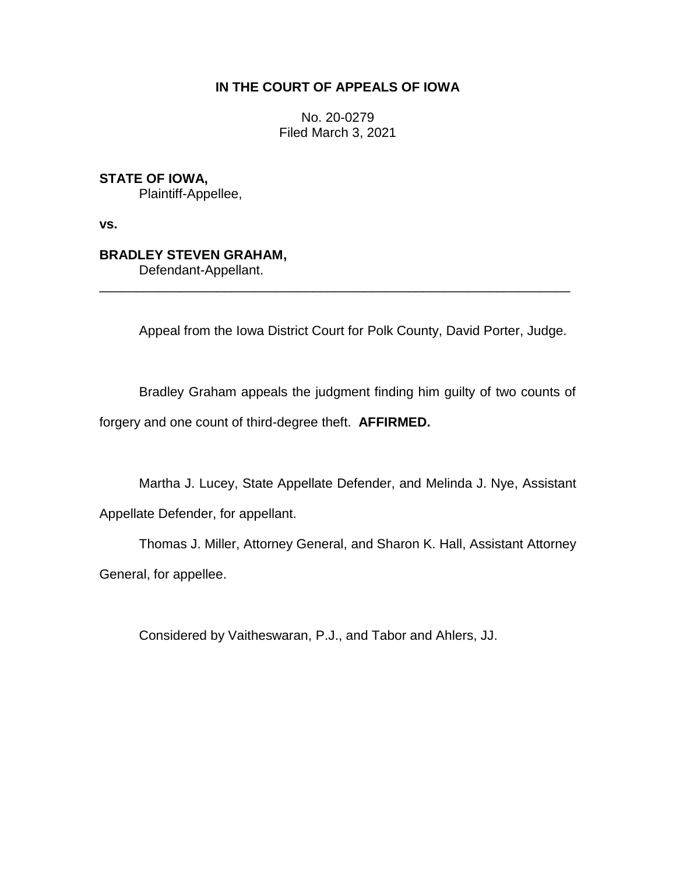# **IN THE COURT OF APPEALS OF IOWA**

No. 20-0279 Filed March 3, 2021

**STATE OF IOWA,**

Plaintiff-Appellee,

**vs.**

# **BRADLEY STEVEN GRAHAM,**

Defendant-Appellant.

Appeal from the Iowa District Court for Polk County, David Porter, Judge.

Bradley Graham appeals the judgment finding him guilty of two counts of forgery and one count of third-degree theft. **AFFIRMED.**

\_\_\_\_\_\_\_\_\_\_\_\_\_\_\_\_\_\_\_\_\_\_\_\_\_\_\_\_\_\_\_\_\_\_\_\_\_\_\_\_\_\_\_\_\_\_\_\_\_\_\_\_\_\_\_\_\_\_\_\_\_\_\_\_

Martha J. Lucey, State Appellate Defender, and Melinda J. Nye, Assistant Appellate Defender, for appellant.

Thomas J. Miller, Attorney General, and Sharon K. Hall, Assistant Attorney General, for appellee.

Considered by Vaitheswaran, P.J., and Tabor and Ahlers, JJ.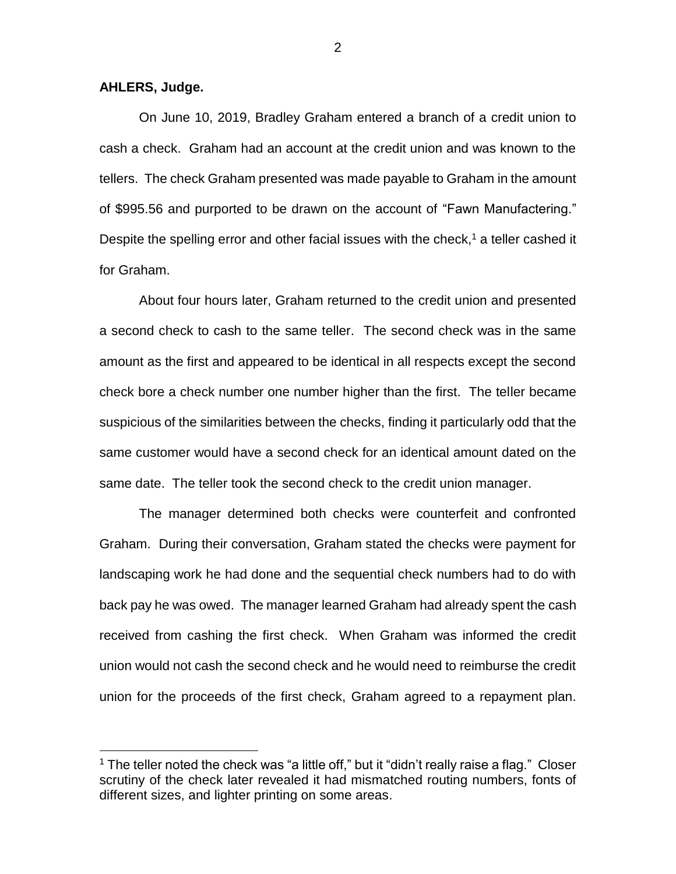### **AHLERS, Judge.**

 $\overline{a}$ 

On June 10, 2019, Bradley Graham entered a branch of a credit union to cash a check. Graham had an account at the credit union and was known to the tellers. The check Graham presented was made payable to Graham in the amount of \$995.56 and purported to be drawn on the account of "Fawn Manufactering." Despite the spelling error and other facial issues with the check,<sup>1</sup> a teller cashed it for Graham.

About four hours later, Graham returned to the credit union and presented a second check to cash to the same teller. The second check was in the same amount as the first and appeared to be identical in all respects except the second check bore a check number one number higher than the first. The teller became suspicious of the similarities between the checks, finding it particularly odd that the same customer would have a second check for an identical amount dated on the same date. The teller took the second check to the credit union manager.

The manager determined both checks were counterfeit and confronted Graham. During their conversation, Graham stated the checks were payment for landscaping work he had done and the sequential check numbers had to do with back pay he was owed. The manager learned Graham had already spent the cash received from cashing the first check. When Graham was informed the credit union would not cash the second check and he would need to reimburse the credit union for the proceeds of the first check, Graham agreed to a repayment plan.

 $1$  The teller noted the check was "a little off," but it "didn't really raise a flag." Closer scrutiny of the check later revealed it had mismatched routing numbers, fonts of different sizes, and lighter printing on some areas.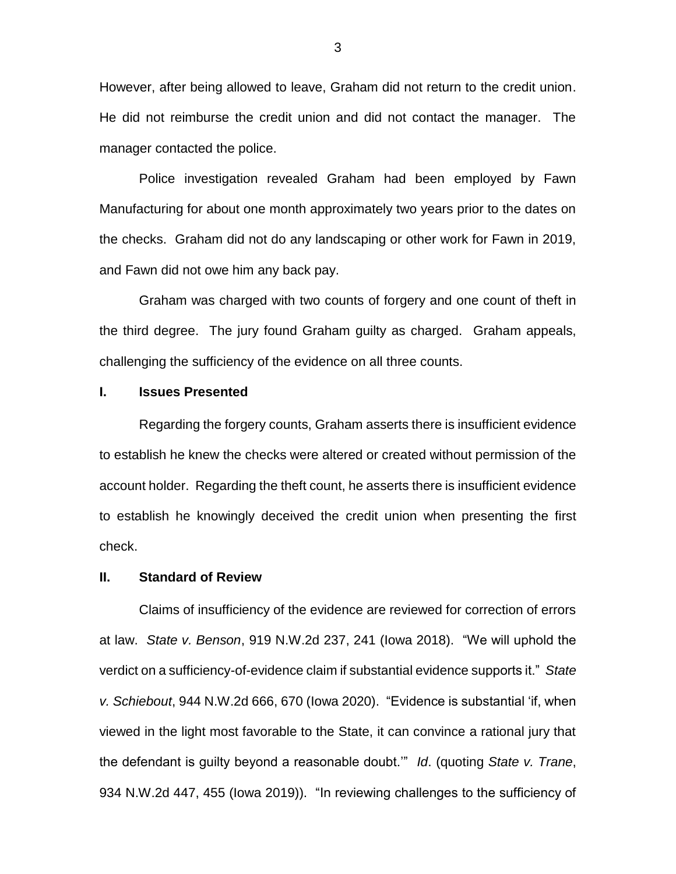However, after being allowed to leave, Graham did not return to the credit union. He did not reimburse the credit union and did not contact the manager. The manager contacted the police.

Police investigation revealed Graham had been employed by Fawn Manufacturing for about one month approximately two years prior to the dates on the checks. Graham did not do any landscaping or other work for Fawn in 2019, and Fawn did not owe him any back pay.

Graham was charged with two counts of forgery and one count of theft in the third degree. The jury found Graham guilty as charged. Graham appeals, challenging the sufficiency of the evidence on all three counts.

### **I. Issues Presented**

Regarding the forgery counts, Graham asserts there is insufficient evidence to establish he knew the checks were altered or created without permission of the account holder. Regarding the theft count, he asserts there is insufficient evidence to establish he knowingly deceived the credit union when presenting the first check.

## **II. Standard of Review**

Claims of insufficiency of the evidence are reviewed for correction of errors at law. *State v. Benson*, 919 N.W.2d 237, 241 (Iowa 2018). "We will uphold the verdict on a sufficiency-of-evidence claim if substantial evidence supports it." *State v. Schiebout*, 944 N.W.2d 666, 670 (Iowa 2020). "Evidence is substantial 'if, when viewed in the light most favorable to the State, it can convince a rational jury that the defendant is guilty beyond a reasonable doubt.'" *Id*. (quoting *State v. Trane*, 934 N.W.2d 447, 455 (Iowa 2019)). "In reviewing challenges to the sufficiency of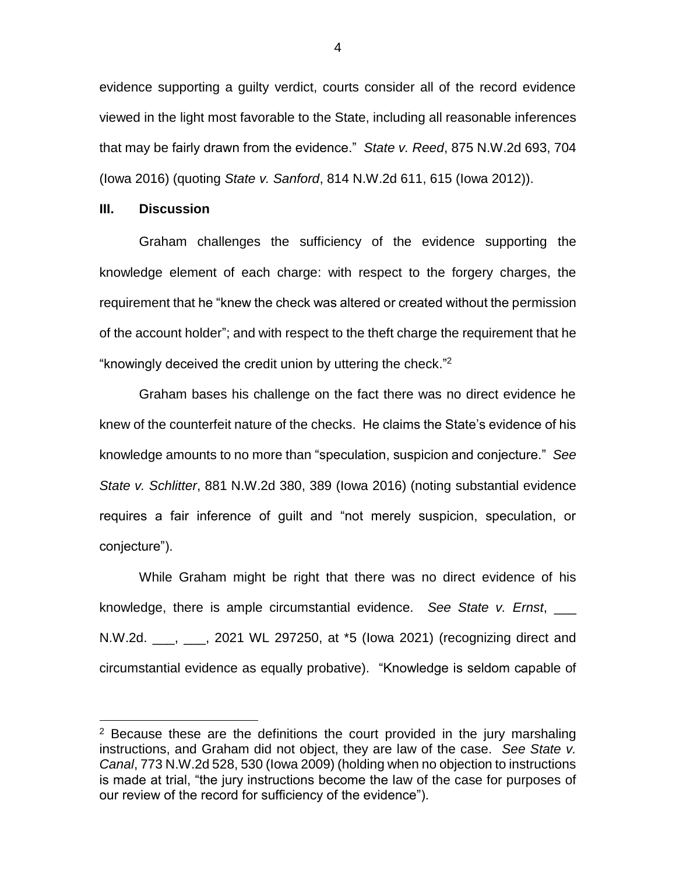evidence supporting a guilty verdict, courts consider all of the record evidence viewed in the light most favorable to the State, including all reasonable inferences that may be fairly drawn from the evidence." *State v. Reed*, 875 N.W.2d 693, 704 (Iowa 2016) (quoting *State v. Sanford*, 814 N.W.2d 611, 615 (Iowa 2012)).

#### **III. Discussion**

 $\overline{a}$ 

Graham challenges the sufficiency of the evidence supporting the knowledge element of each charge: with respect to the forgery charges, the requirement that he "knew the check was altered or created without the permission of the account holder"; and with respect to the theft charge the requirement that he "knowingly deceived the credit union by uttering the check." 2

Graham bases his challenge on the fact there was no direct evidence he knew of the counterfeit nature of the checks. He claims the State's evidence of his knowledge amounts to no more than "speculation, suspicion and conjecture." *See State v. Schlitter*, 881 N.W.2d 380, 389 (Iowa 2016) (noting substantial evidence requires a fair inference of guilt and "not merely suspicion, speculation, or conjecture").

While Graham might be right that there was no direct evidence of his knowledge, there is ample circumstantial evidence. *See State v. Ernst*, N.W.2d. \_\_\_, \_\_\_, 2021 WL 297250, at \*5 (Iowa 2021) (recognizing direct and circumstantial evidence as equally probative). "Knowledge is seldom capable of

 $2$  Because these are the definitions the court provided in the jury marshaling instructions, and Graham did not object, they are law of the case. *See State v. Canal*, 773 N.W.2d 528, 530 (Iowa 2009) (holding when no objection to instructions is made at trial, "the jury instructions become the law of the case for purposes of our review of the record for sufficiency of the evidence").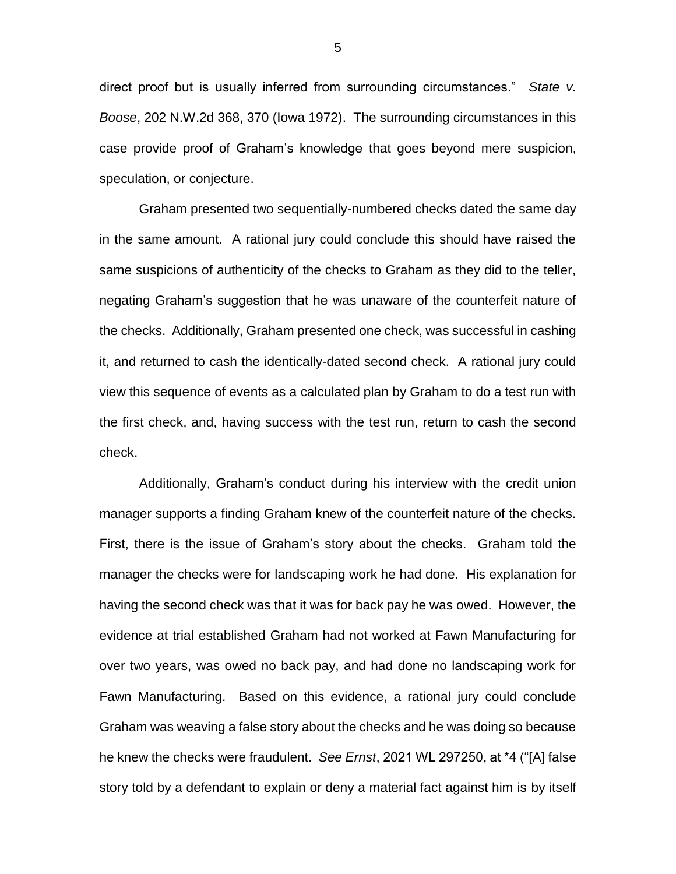direct proof but is usually inferred from surrounding circumstances." *State v. Boose*, 202 N.W.2d 368, 370 (Iowa 1972). The surrounding circumstances in this case provide proof of Graham's knowledge that goes beyond mere suspicion, speculation, or conjecture.

Graham presented two sequentially-numbered checks dated the same day in the same amount. A rational jury could conclude this should have raised the same suspicions of authenticity of the checks to Graham as they did to the teller, negating Graham's suggestion that he was unaware of the counterfeit nature of the checks. Additionally, Graham presented one check, was successful in cashing it, and returned to cash the identically-dated second check. A rational jury could view this sequence of events as a calculated plan by Graham to do a test run with the first check, and, having success with the test run, return to cash the second check.

Additionally, Graham's conduct during his interview with the credit union manager supports a finding Graham knew of the counterfeit nature of the checks. First, there is the issue of Graham's story about the checks. Graham told the manager the checks were for landscaping work he had done. His explanation for having the second check was that it was for back pay he was owed. However, the evidence at trial established Graham had not worked at Fawn Manufacturing for over two years, was owed no back pay, and had done no landscaping work for Fawn Manufacturing. Based on this evidence, a rational jury could conclude Graham was weaving a false story about the checks and he was doing so because he knew the checks were fraudulent. *See Ernst*, 2021 WL 297250, at \*4 ("[A] false story told by a defendant to explain or deny a material fact against him is by itself